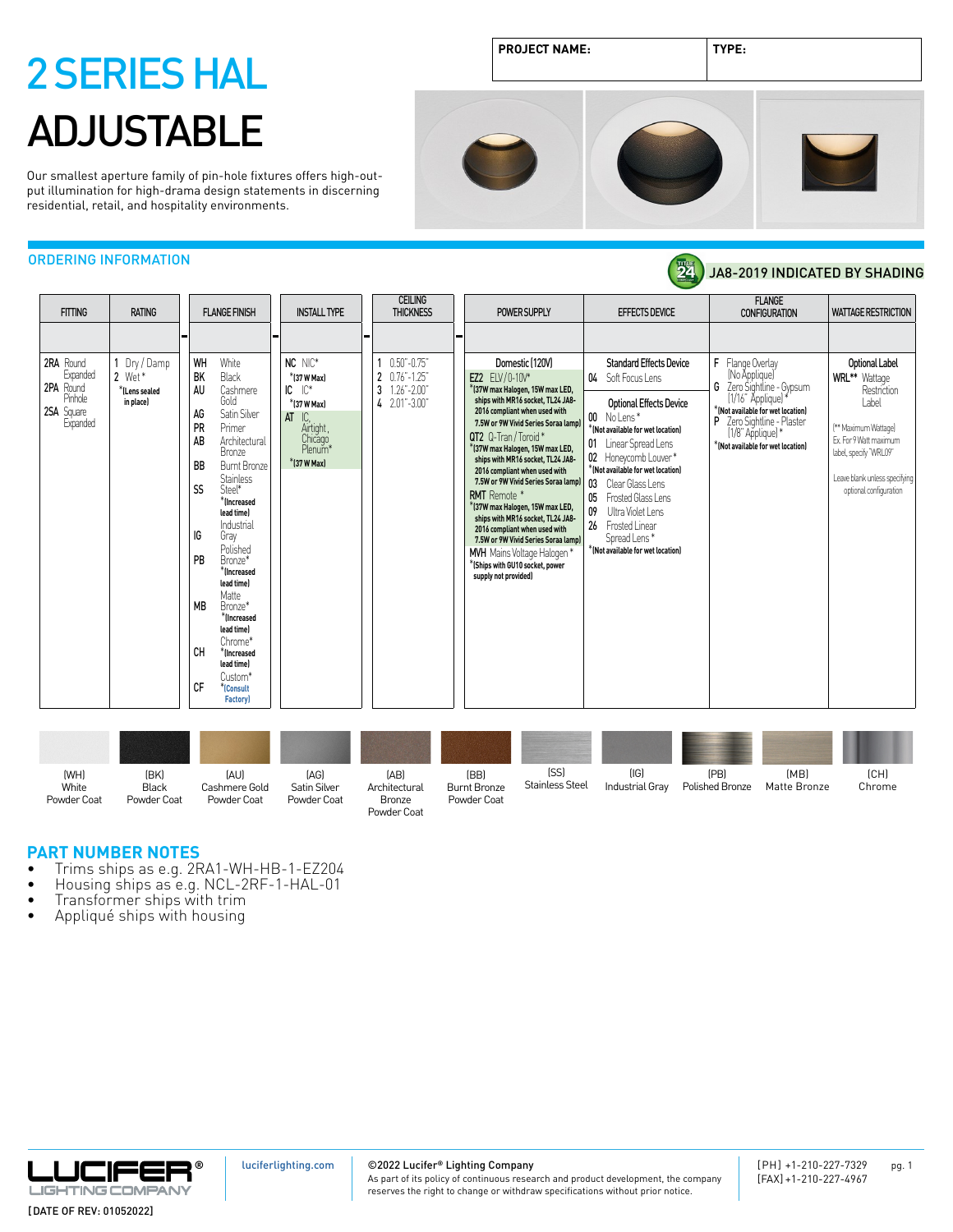Our smallest aperture family of pin-hole fixtures offers high-output illumination for high-drama design statements in discerning residential, retail, and hospitality environments.

JA8-2019 INDICATED BY SHADING



24)

### ORDERING INFORMATION

| <b>FITTING</b>                                                          | <b>RATING</b>                                      | <b>FLANGE FINISH</b>                                                                                                                                                                                                                                                                                                         | <b>INSTALL TYPE</b>                                                                                                                 | <b>THICKNESS</b>                                                                                   | POWER SUPPLY                                                                                                                                                                                                                                                                                                                                                                                                                                                                                                                                                                                                               | <b>EFFECTS DEVICE</b>                                                                                                                                                                                                                                                                                                                                                                       | <b>CONFIGURATION</b>                                                                                                                                                                                                                      | <b>WATTAGE RESTRICTION</b>                                                                                                                                                                                   |
|-------------------------------------------------------------------------|----------------------------------------------------|------------------------------------------------------------------------------------------------------------------------------------------------------------------------------------------------------------------------------------------------------------------------------------------------------------------------------|-------------------------------------------------------------------------------------------------------------------------------------|----------------------------------------------------------------------------------------------------|----------------------------------------------------------------------------------------------------------------------------------------------------------------------------------------------------------------------------------------------------------------------------------------------------------------------------------------------------------------------------------------------------------------------------------------------------------------------------------------------------------------------------------------------------------------------------------------------------------------------------|---------------------------------------------------------------------------------------------------------------------------------------------------------------------------------------------------------------------------------------------------------------------------------------------------------------------------------------------------------------------------------------------|-------------------------------------------------------------------------------------------------------------------------------------------------------------------------------------------------------------------------------------------|--------------------------------------------------------------------------------------------------------------------------------------------------------------------------------------------------------------|
| 2RA Round<br>Expanded<br>2PA Round<br>Pinhole<br>2SA Square<br>Expanded | Dry / Damp<br>2 Wet*<br>*ILens sealed<br>in place) | WH<br>White<br><b>BK</b><br>Black<br>AU<br>Cashmere<br>Gold<br>Satin Silver<br>AG<br>PR<br>Primer<br>AB<br>Architectural<br>Bronze<br><b>BB</b><br><b>Burnt Bronze</b><br><b>Stainless</b><br><b>SS</b><br>Steel*<br>*(Increased<br>lead time)<br>Industrial<br>IG<br>Gray<br>Polished<br><b>PR</b><br>Bronze*<br>*Increased | NC NIC*<br>*(37 W Max)<br>$IC^*$<br>IC<br>*(37 W Max)<br>IC.<br>AT<br>Airtight,<br>Chicago<br>Plenum <sup>*</sup><br>$*$ (37 W Max) | <b>CEILING</b><br>$0.50 - 0.75$<br>2 0.76"-1.25"<br>3<br>$1.26" - 2.00"$<br>$4$ $2.01$ " $-3.00$ " | Domestic (120V)<br>EZ2 ELV/0-10V*<br>*(37W max Halogen, 15W max LED,<br>ships with MR16 socket, TL24 JA8-<br>2016 compliant when used with<br>7.5W or 9W Vivid Series Soraa lampl<br>QT2 Q-Tran/Toroid*<br>*(37W max Halogen, 15W max LED,<br>ships with MR16 socket, TL24 JA8-<br>2016 compliant when used with<br>7.5W or 9W Vivid Series Soraa lamp)<br><b>RMT</b> Remote *<br>*(37W max Halogen, 15W max LED,<br>ships with MR16 socket, TL24 JA8-<br>2016 compliant when used with<br>7.5W or 9W Vivid Series Soraa lampl<br>MVH Mains Voltage Halogen*<br>$*$ (Ships with GU10 socket, power<br>supply not provided) | <b>Standard Effects Device</b><br>04 Soft Focus Lens<br><b>Optional Effects Device</b><br>00 No Lens*<br>*(Not available for wet location)<br>01 Linear Spread Lens<br>02 Honeycomb Louver*<br>*(Not available for wet location)<br>03<br>Clear Glass Lens<br>05<br>Frosted Glass Lens<br>Ultra Violet Lens<br>09<br>26 Frosted Linear<br>Spread Lens*<br>*(Not available for wet location) | <b>FLANGE</b><br>F<br>Flange Overlay<br>(No Applique)<br>G<br>Zero Sightline - Gypsum<br>[1/16" Applique]'<br>*(Not available for wet location)<br>P<br>Zero Sightline - Plaster<br>[1/8" Applique]*<br>*(Not available for wet location) | <b>Optional Label</b><br><b>WRL**</b> Wattage<br>Restriction<br>Label<br>(** Maximum Wattage)<br>Ex. For 9 Watt maximum<br>label, specify 'WRL09"<br>Leave blank unless specifying<br>optional configuration |
|                                                                         |                                                    | lead time)<br>Matte<br><b>MB</b><br>Bronze*<br>*Increased<br>lead time)<br>Chrome*<br>СH<br>*Increased<br>lead time)<br>Custom*                                                                                                                                                                                              |                                                                                                                                     |                                                                                                    |                                                                                                                                                                                                                                                                                                                                                                                                                                                                                                                                                                                                                            |                                                                                                                                                                                                                                                                                                                                                                                             |                                                                                                                                                                                                                                           |                                                                                                                                                                                                              |
|                                                                         |                                                    | CF<br>*(Consult<br><b>Factory</b>                                                                                                                                                                                                                                                                                            |                                                                                                                                     |                                                                                                    |                                                                                                                                                                                                                                                                                                                                                                                                                                                                                                                                                                                                                            |                                                                                                                                                                                                                                                                                                                                                                                             |                                                                                                                                                                                                                                           |                                                                                                                                                                                                              |

| (WH)<br>White<br>Powder Coat | (BK)<br><b>Black</b><br>Powder Coat | [AU]<br>Cashmere Gold<br>Powder Coat | [AG]<br>Satin Silver<br>Powder Coat | [AB]<br>Architectural<br>Bronze<br>Powder Coat | (BB)<br><b>Burnt Bronze</b><br>Powder Coat | [SS]<br><b>Stainless Steel</b> | (IG)<br>Industrial Gray | (PB)<br>Polished Bronze | (MB)<br>Matte Bronze | [CH]<br>Chrome |
|------------------------------|-------------------------------------|--------------------------------------|-------------------------------------|------------------------------------------------|--------------------------------------------|--------------------------------|-------------------------|-------------------------|----------------------|----------------|

- **PART NUMBER NOTES**<br>• Trims ships as e.g. 2RA1-WH-HB-1-EZ204
- Trims ships as e.g. 2RA1-WH-HB-1-EZ204<br>• Housing ships as e.g. NCL-2RF-1-HAL-01<br>• Transformer ships with trim<br>• Appliqué ships with housing
- 
- 



[luciferlighting.com](http://luciferlighting.com/)

©2022 Lucifer**®** Lighting Company

As part of its policy of continuous research and product development, the company reserves the right to change or withdraw specifications without prior notice.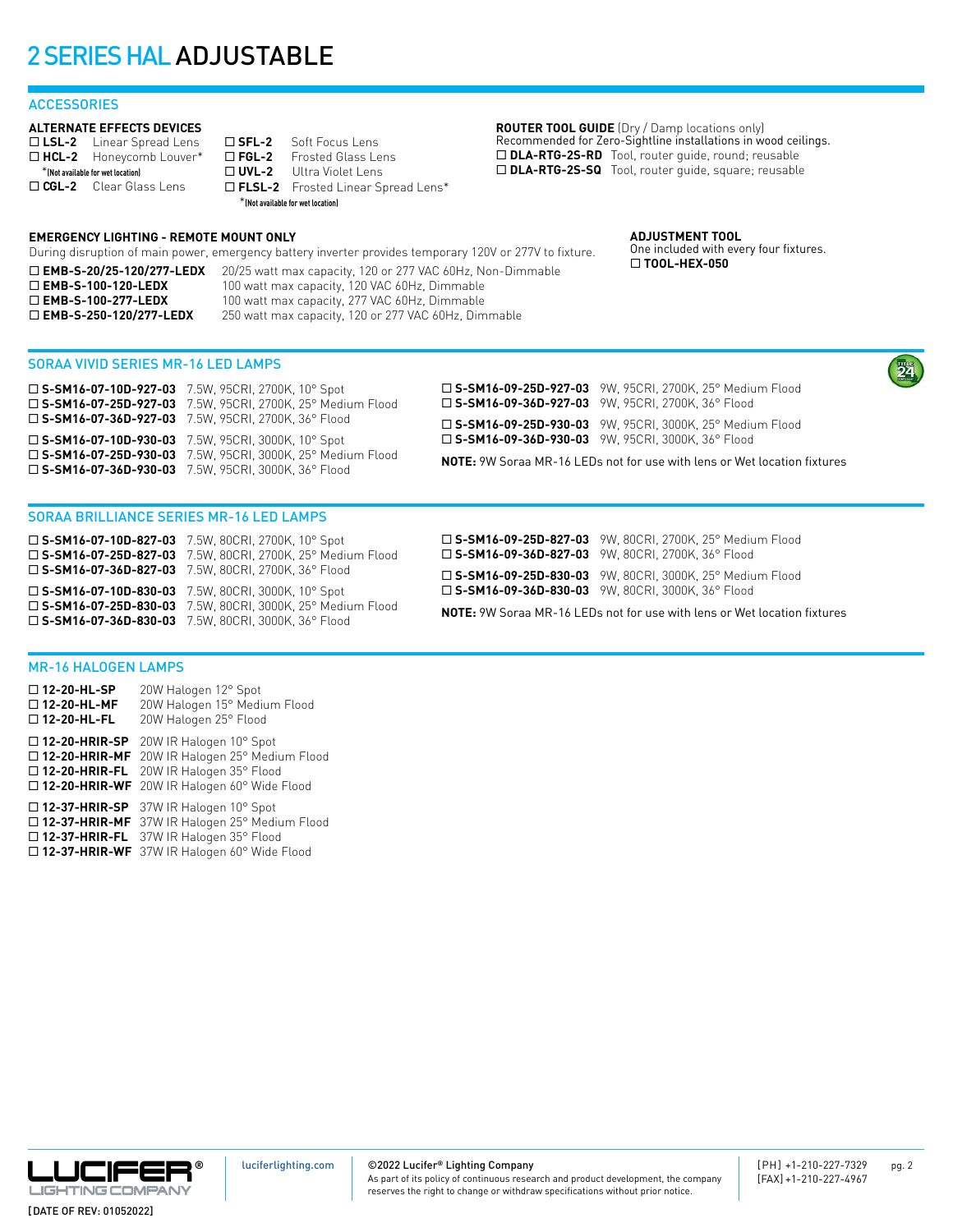### **ACCESSORIES**

### **ALTERNATE EFFECTS DEVICES**

□ LSL-2 Linear Spread Lens □ HCL-2 Honeycomb Louver\* \***(Not available for wet location)** □ CGL-2 Clear Glass Lens

□ **SFL-2** Soft Focus Lens<br>□ FGL-2 Frosted Glass Le **Frosted Glass Lens** □ **UVL-2** Ultra Violet Lens ¨ **FLSL-2** Frosted Linear Spread Lens\* \***(Not available for wet location)**

During disruption of main power, emergency battery inverter provides temporary 120V or 277V to fixture. □ **EMB-S-20/25-120/277-LEDX** 20/25 watt max capacity, 120 or 277 VAC 60Hz, Non-Dimmable

□ EMB-S-100-120-LEDX 100 watt max capacity, 120 VAC 60Hz, Dimmable □ EMB-S-100-277-LEDX 100 watt max capacity, 277 VAC 60Hz, Dimmable □ **EMB-S-250-120/277-LEDX** 250 watt max capacity, 120 or 277 VAC 60Hz, Dimmable

**ROUTER TOOL GUIDE** (Dry / Damp locations only) Recommended for Zero-Sightline installations in wood ceilings. □ DLA-RTG-2S-RD Tool, router guide, round; reusable □ DLA-RTG-2S-SQ Tool, router guide, square; reusable

> **ADJUSTMENT TOOL** One included with every four fixtures. ¨ **TOOL-HEX-050**

SORAA VIVID SERIES MR-16 LED LAMPS

**EMERGENCY LIGHTING - REMOTE MOUNT ONLY**

| $\square$ S-SM16-07-10D-927-03 7.5W, 95CRI, 2700K, 10° Spot  | □ S-SM16-09-25D-927-03 9W. 95CRI. 2700K. 25° Medium Flood                       |
|--------------------------------------------------------------|---------------------------------------------------------------------------------|
| □ S-SM16-07-25D-927-03 7.5W, 95CRI, 2700K, 25° Medium Flood  | $\square$ S-SM16-09-36D-927-03 9W, 95CRI, 2700K, 36° Flood                      |
| □ S-SM16-07-36D-927-03 7.5W, 95CRI, 2700K, 36° Flood         | □ S-SM16-09-25D-930-03 9W, 95CRI, 3000K, 25° Medium Flood                       |
| □ S-SM16-07-10D-930-03 7.5W, 95CRI, 3000K, 10° Spot          | $\square$ S-SM16-09-36D-930-03 9W, 95CRI, 3000K, 36° Flood                      |
| □ S-SM16-07-25D-930-03 7.5W, 95CRI, 3000K, 25° Medium Flood  | <b>NOTE:</b> 9W Soraa MR-16 LEDs not for use with lens or Wet location fixtures |
| $\square$ S-SM16-07-36D-930-03 7.5W, 95CRI, 3000K, 36° Flood |                                                                                 |

### SORAA BRILLIANCE SERIES MR-16 LED LAMPS

¨ **S-SM16-07-10D-827-03** 7.5W, 80CRI, 2700K, 10° Spot ¨ **S-SM16-07-25D-827-03** 7.5W, 80CRI, 2700K, 25° Medium Flood ¨ **S-SM16-07-36D-827-03** 7.5W, 80CRI, 2700K, 36° Flood ¨ **S-SM16-07-10D-830-03** 7.5W, 80CRI, 3000K, 10° Spot ¨ **S-SM16-07-25D-830-03** 7.5W, 80CRI, 3000K, 25° Medium Flood ¨ **S-SM16-07-36D-830-03** 7.5W, 80CRI, 3000K, 36° Flood

¨ **S-SM16-09-25D-827-03** 9W, 80CRI, 2700K, 25° Medium Flood □ S-SM16-09-36D-827-03 9W, 80CRI, 2700K, 36° Flood

¨ **S-SM16-09-25D-830-03** 9W, 80CRI, 3000K, 25° Medium Flood ¨ **S-SM16-09-36D-830-03** 9W, 80CRI, 3000K, 36° Flood

**NOTE:** 9W Soraa MR-16 LEDs not for use with lens or Wet location fixtures

### MR-16 HALOGEN LAMPS

¨ **12-20-HL-SP** 20W Halogen 12° Spot ¨ **12-20-HL-MF** 20W Halogen 15° Medium Flood □ 12-20-HL-FL 20W Halogen 25° Flood □ 12-20-HRIR-SP 20W IR Halogen 10° Spot □ 12-20-HRIR-MF 20W IR Halogen 25° Medium Flood □ 12-20-HRIR-FL 20W IR Halogen 35° Flood □ 12-20-HRIR-WF 20W IR Halogen 60° Wide Flood □ 12-37-HRIR-SP 37W IR Halogen 10° Spot

□ 12-37-HRIR-MF 37W IR Halogen 25° Medium Flood ¨ **12-37-HRIR-FL** 37W IR Halogen 35° Flood ¨ **12-37-HRIR-WF** 37W IR Halogen 60° Wide Flood

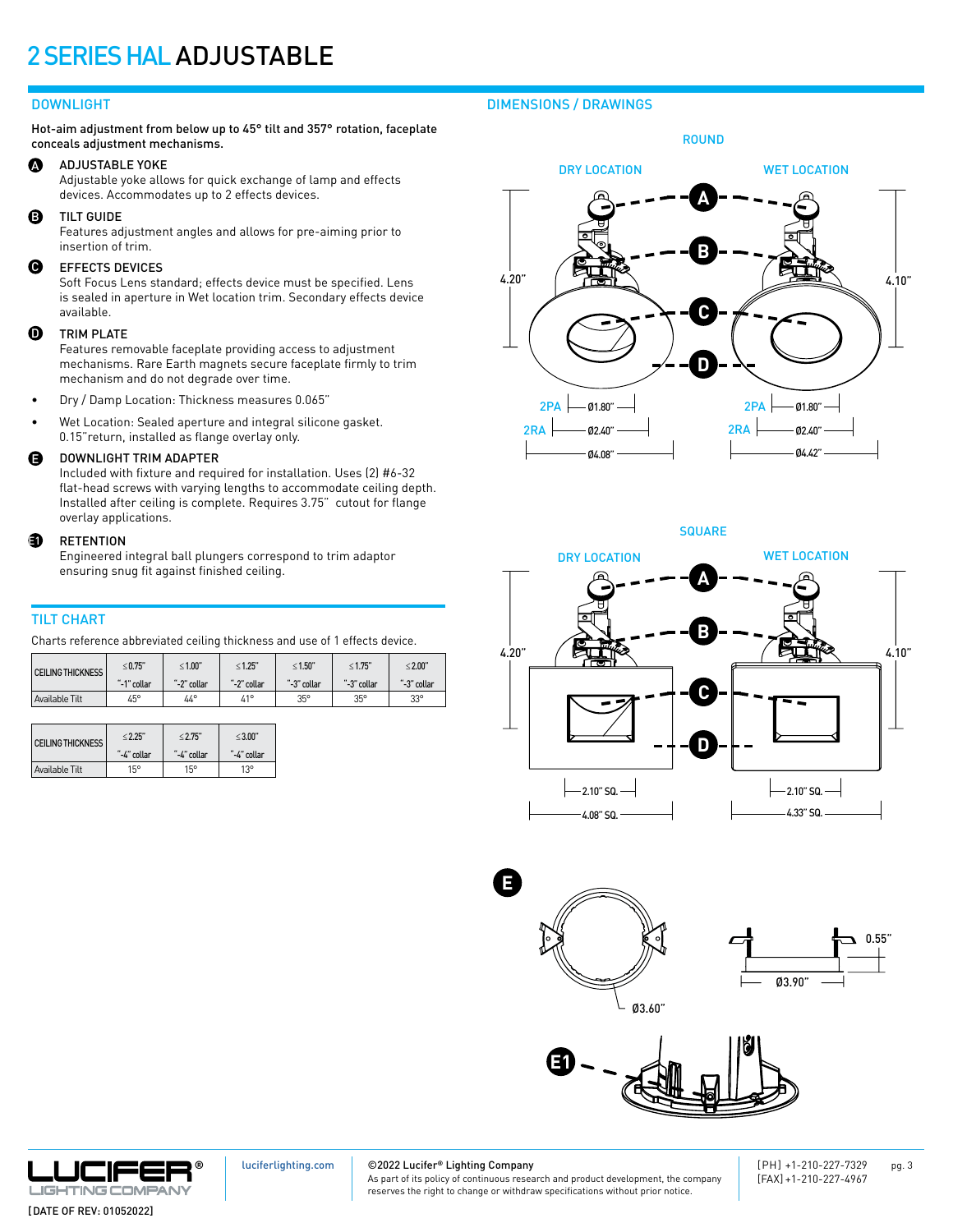### DOWNLIGHT

Hot-aim adjustment from below up to 45° tilt and 357° rotation, faceplate conceals adjustment mechanisms.

#### $\boldsymbol{\Omega}$ ADJUSTABLE YOKE

Adjustable yoke allows for quick exchange of lamp and effects devices. Accommodates up to 2 effects devices.

B TILT GUIDE

Features adjustment angles and allows for pre-aiming prior to insertion of trim.

#### $\boldsymbol{\Theta}$ EFFECTS DEVICES

Soft Focus Lens standard; effects device must be specified. Lens is sealed in aperture in Wet location trim. Secondary effects device available.

#### **ጠ** TRIM PLATE

Features removable faceplate providing access to adjustment mechanisms. Rare Earth magnets secure faceplate firmly to trim mechanism and do not degrade over time.

- Dry / Damp Location: Thickness measures 0.065"
- Wet Location: Sealed aperture and integral silicone gasket. 0.15"return, installed as flange overlay only.

#### E DOWNLIGHT TRIM ADAPTER

Included with fixture and required for installation. Uses (2) #6-32 flat-head screws with varying lengths to accommodate ceiling depth. Installed after ceiling is complete. Requires 3.75" cutout for flange overlay applications.

#### ed.<br>1920 RETENTION

Engineered integral ball plungers correspond to trim adaptor ensuring snug fit against finished ceiling.

### TILT CHART

Charts reference abbreviated ceiling thickness and use of 1 effects device.

| <b>CEILING THICKNESS</b> | $\leq$ 0.75" | $\leq 1.00$ " | $\leq 1.25$ " | $\leq 1.50"$ | $\leq 1.75"$ | $\leq 2.00"$ |
|--------------------------|--------------|---------------|---------------|--------------|--------------|--------------|
|                          | "-1" collar  | "-2" collar   | "-2" collar   | "-3" collar  | "-3" collar  | "-3" collar  |
| Available Tilt           | 45°          | $44^{\circ}$  | $41^{\circ}$  | 35°          | 35°          | 33°          |

| <b>CEILING THICKNESS</b> | < 2.25"     | < 2.75"     | < 3.00"     |  |
|--------------------------|-------------|-------------|-------------|--|
|                          | "-4" collar | "-4" collar | "-4" collar |  |
|                          |             |             |             |  |

### DIMENSIONS / DRAWINGS

ROUND



**SQUARE** 











[luciferlighting.com](http://luciferlighting.com/)

©2022 Lucifer**®** Lighting Company

As part of its policy of continuous research and product development, the company reserves the right to change or withdraw specifications without prior notice.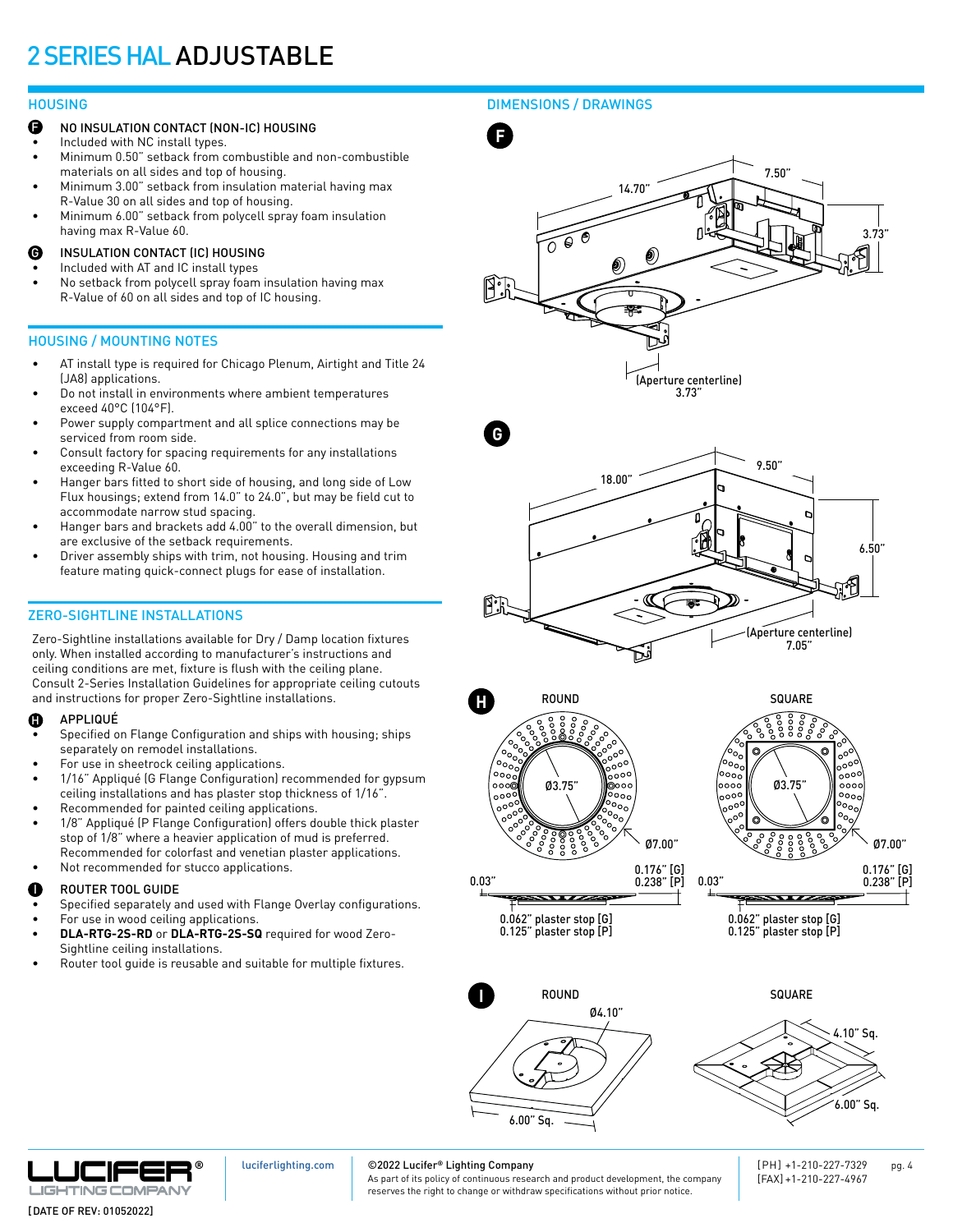- NO INSULATION CONTACT (NON-IC) HOUSING F
- Included with NC install types.
- Minimum 0.50" setback from combustible and non-combustible materials on all sides and top of housing.
- Minimum 3.00" setback from insulation material having max R-Value 30 on all sides and top of housing.
- Minimum 6.00" setback from polycell spray foam insulation having max R-Value 60.
- INSULATION CONTACT (IC) HOUSING G
- Included with AT and IC install types
- No setback from polycell spray foam insulation having max R-Value of 60 on all sides and top of IC housing.

### HOUSING / MOUNTING NOTES

- AT install type is required for Chicago Plenum, Airtight and Title 24 (JA8) applications.
- Do not install in environments where ambient temperatures exceed 40°C (104°F).
- Power supply compartment and all splice connections may be serviced from room side.
- Consult factory for spacing requirements for any installations exceeding R-Value 60.
- Hanger bars fitted to short side of housing, and long side of Low Flux housings; extend from 14.0" to 24.0", but may be field cut to accommodate narrow stud spacing.
- Hanger bars and brackets add 4.00" to the overall dimension, but are exclusive of the setback requirements.
- Driver assembly ships with trim, not housing. Housing and trim feature mating quick-connect plugs for ease of installation.

### ZERO-SIGHTLINE INSTALLATIONS

Zero-Sightline installations available for Dry / Damp location fixtures only. When installed according to manufacturer's instructions and ceiling conditions are met, fixture is flush with the ceiling plane. Consult 2-Series Installation Guidelines for appropriate ceiling cutouts and instructions for proper Zero-Sightline installations.

#### APPLIQUÉ  $\bf \Phi$

- Specified on Flange Configuration and ships with housing; ships separately on remodel installations.
- For use in sheetrock ceiling applications.
- 1/16" Appliqué (G Flange Configuration) recommended for gypsum ceiling installations and has plaster stop thickness of 1/16".
- Recommended for painted ceiling applications.
- 1/8" Appliqué (P Flange Configuration) offers double thick plaster stop of 1/8" where a heavier application of mud is preferred. Recommended for colorfast and venetian plaster applications.
- Not recommended for stucco applications.

#### ROUTER TOOL GUIDE I

- Specified separately and used with Flange Overlay configurations.
- For use in wood ceiling applications. **• DLA-RTG-2S-RD** or **DLA-RTG-2S-SQ** required for wood Zero-Sightline ceiling installations.
- Router tool guide is reusable and suitable for multiple fixtures.

### HOUSING DIMENSIONS / DRAWINGS



0.03"

0.03" 0.238" [P]  $\overline{\phantom{a}}$ 0.062" plaster stop [G]

0.125" plaster stop [P]

0.062" plaster stop [G] 0.125" plaster stop [P]

 $\overline{\phantom{a}}$ 







[luciferlighting.com](http://luciferlighting.com/)

### ©2022 Lucifer**®** Lighting Company

As part of its policy of continuous research and product development, the company reserves the right to change or withdraw specifications without prior notice.

[PH] +1-210-227-7329 pg. 4 [FAX] +1-210-227-4967

0.238" [P]